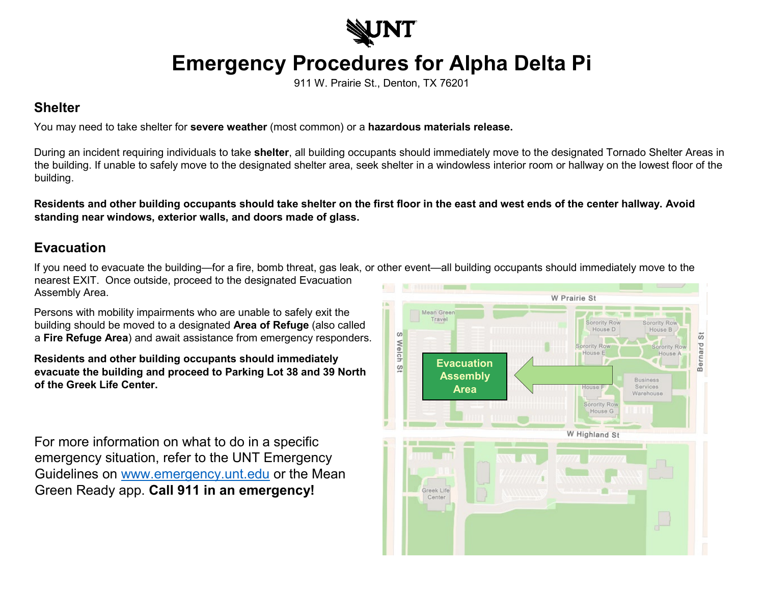

## **Emergency Procedures for Alpha Delta Pi**

911 W. Prairie St., Denton, TX 76201

## **Shelter**

You may need to take shelter for **severe weather** (most common) or a **hazardous materials release.**

During an incident requiring individuals to take **shelter**, all building occupants should immediately move to the designated Tornado Shelter Areas in the building. If unable to safely move to the designated shelter area, seek shelter in a windowless interior room or hallway on the lowest floor of the building.

**Residents and other building occupants should take shelter on the first floor in the east and west ends of the center hallway. Avoid standing near windows, exterior walls, and doors made of glass.** 

## **Evacuation**

If you need to evacuate the building—for a fire, bomb threat, gas leak, or other event—all building occupants should immediately move to the nearest EXIT. Once outside, proceed to the designated Evacuation Assembly Area.

Persons with mobility impairments who are unable to safely exit the building should be moved to a designated **Area of Refuge** (also called a **Fire Refuge Area**) and await assistance from emergency responders.

**Residents and other building occupants should immediately evacuate the building and proceed to Parking Lot 38 and 39 North of the Greek Life Center.**

For more information on what to do in a specific emergency situation, refer to the UNT Emergency Guidelines on [www.emergency.unt.edu](http://www.emergency.unt.edu/) or the Mean Green Ready app. **Call 911 in an emergency!**

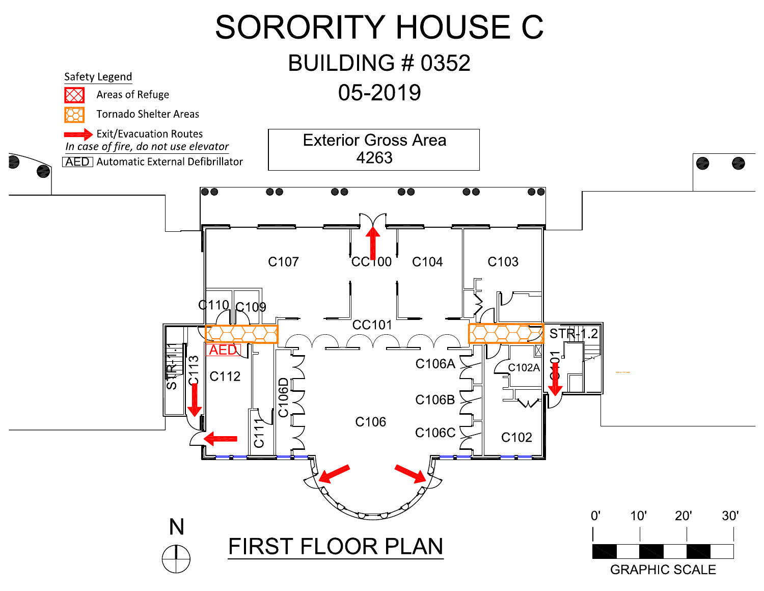